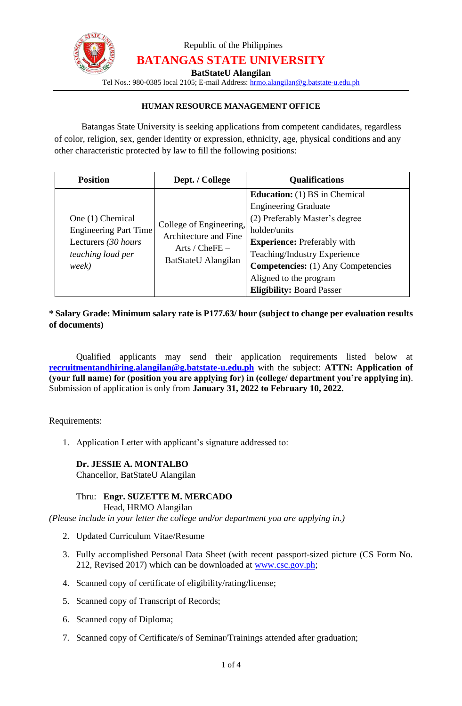

Republic of the Philippines **BATANGAS STATE UNIVERSITY**

**BatStateU Alangilan**

Tel Nos.: 980-0385 local 2105; E-mail Address: [hrmo.alangilan@g.batstate-u.edu.ph](mailto:hrmo.alangilan@g.batstate-u.edu.ph)

### **HUMAN RESOURCE MANAGEMENT OFFICE**

Batangas State University is seeking applications from competent candidates, regardless of color, religion, sex, gender identity or expression, ethnicity, age, physical conditions and any other characteristic protected by law to fill the following positions:

| <b>Position</b>                                                                                       | Dept. / College                                                                             | <b>Qualifications</b>                                                                                                                                                                                                                                                                                  |
|-------------------------------------------------------------------------------------------------------|---------------------------------------------------------------------------------------------|--------------------------------------------------------------------------------------------------------------------------------------------------------------------------------------------------------------------------------------------------------------------------------------------------------|
| One (1) Chemical<br><b>Engineering Part Time</b><br>Lecturers (30 hours<br>teaching load per<br>week) | College of Engineering,<br>Architecture and Fine<br>Arts / $CheFE -$<br>BatStateU Alangilan | <b>Education:</b> (1) BS in Chemical<br><b>Engineering Graduate</b><br>(2) Preferably Master's degree<br>holder/units<br><b>Experience:</b> Preferably with<br>Teaching/Industry Experience<br><b>Competencies:</b> (1) Any Competencies<br>Aligned to the program<br><b>Eligibility: Board Passer</b> |

## **\* Salary Grade: Minimum salary rate is P177.63/ hour (subject to change per evaluation results of documents)**

Qualified applicants may send their application requirements listed below at **recruitmentandhiring.alangilan@g.batstate-u.edu.ph** with the subject: **ATTN: Application of (your full name) for (position you are applying for) in (college/ department you're applying in)**. Submission of application is only from **January 31, 2022 to February 10, 2022.**

Requirements:

1. Application Letter with applicant's signature addressed to:

#### **Dr. JESSIE A. MONTALBO** Chancellor, BatStateU Alangilan

#### Thru: **Engr. SUZETTE M. MERCADO** Head, HRMO Alangilan

*(Please include in your letter the college and/or department you are applying in.)*

- 2. Updated Curriculum Vitae/Resume
- 3. Fully accomplished Personal Data Sheet (with recent passport-sized picture (CS Form No. 212, Revised 2017) which can be downloaded at [www.csc.gov.ph;](http://www.csc.gov.ph/)
- 4. Scanned copy of certificate of eligibility/rating/license;
- 5. Scanned copy of Transcript of Records;
- 6. Scanned copy of Diploma;
- 7. Scanned copy of Certificate/s of Seminar/Trainings attended after graduation;